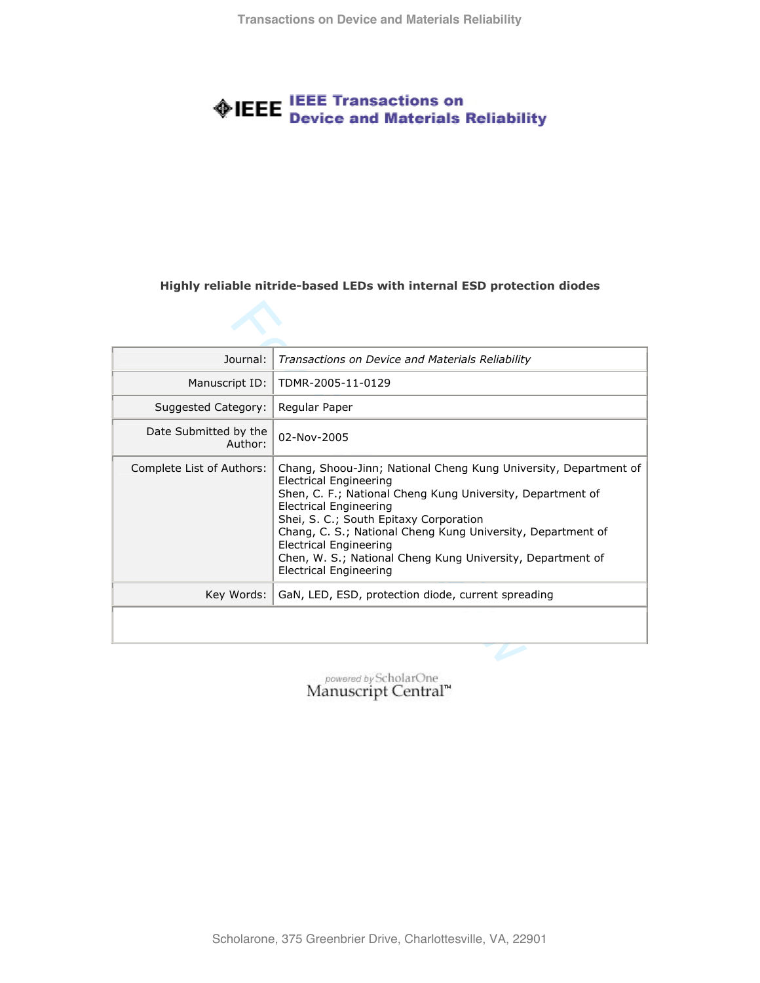# **EEE** IEEE Transactions on<br> **EEE** Device and Materials Reliability

#### **Highly reliable nitride-based LEDs with internal ESD protection diodes**

| Journal:                         | Transactions on Device and Materials Reliability                                                                                                                                                                                                                                                                                                                                                                            |  |
|----------------------------------|-----------------------------------------------------------------------------------------------------------------------------------------------------------------------------------------------------------------------------------------------------------------------------------------------------------------------------------------------------------------------------------------------------------------------------|--|
| Manuscript ID:                   | TDMR-2005-11-0129                                                                                                                                                                                                                                                                                                                                                                                                           |  |
| Suggested Category:              | Regular Paper                                                                                                                                                                                                                                                                                                                                                                                                               |  |
| Date Submitted by the<br>Author: | 02-Nov-2005                                                                                                                                                                                                                                                                                                                                                                                                                 |  |
| Complete List of Authors:        | Chang, Shoou-Jinn; National Cheng Kung University, Department of<br>Electrical Engineering<br>Shen, C. F.; National Cheng Kung University, Department of<br><b>Electrical Engineering</b><br>Shei, S. C.; South Epitaxy Corporation<br>Chang, C. S.; National Cheng Kung University, Department of<br>Electrical Engineering<br>Chen, W. S.; National Cheng Kung University, Department of<br><b>Electrical Engineering</b> |  |
| Key Words:                       | GaN, LED, ESD, protection diode, current spreading                                                                                                                                                                                                                                                                                                                                                                          |  |
|                                  |                                                                                                                                                                                                                                                                                                                                                                                                                             |  |
|                                  |                                                                                                                                                                                                                                                                                                                                                                                                                             |  |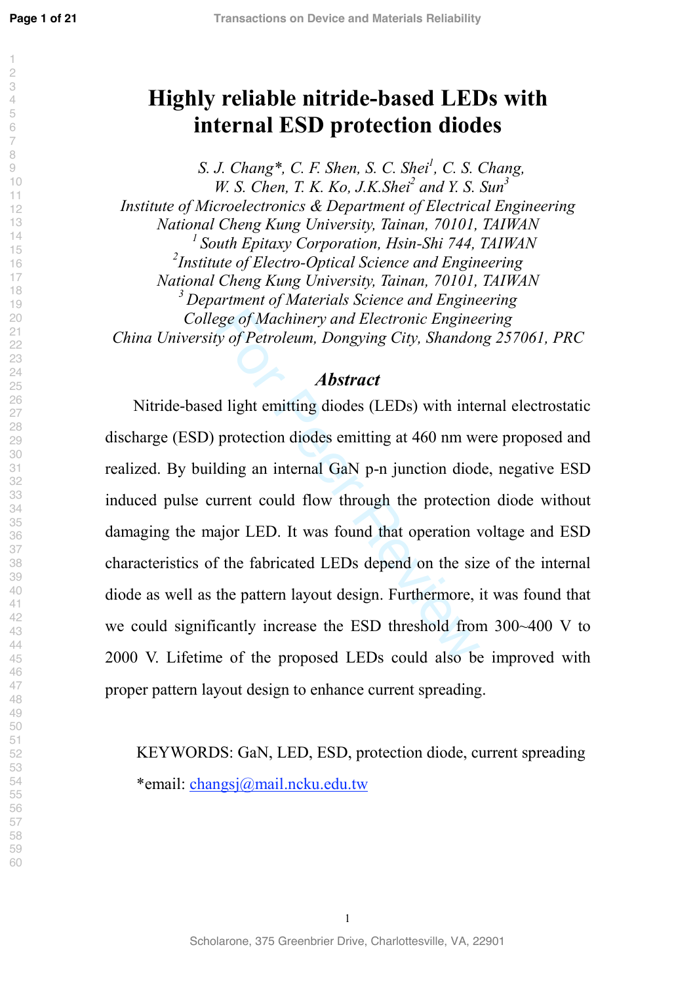$\overline{c}$ 

## **Highly reliable nitride-based LEDs with internal ESD protection diodes**

*S. J. Chang\*, C. F. Shen, S. C. Shei 1 , C. S. Chang, W. S. Chen, T. K. Ko, J.K. Shei<sup>2</sup> and Y. S. Sun<sup>3</sup> Institute of Microelectronics & Department of Electrical Engineering National Cheng Kung University, Tainan, 70101, TAIWAN*<br><sup>1</sup> *South Epitaxy Corporation, Hsin-Shi 744, TAIWAN Institute of Electro-Optical Science and Engineering National Cheng Kung University, Tainan, 70101, TAIWAN 3 Department of Materials Science and Engineering College of Machinery and Electronic Engineering China University of Petroleum, Dongying City, Shandong 257061, PRC* 

#### *Abstract*

ege of Machinery and Electronic Engineery of Petroleum, Dongying City, Shandon<br>**Abstract**<br>**Abstract**<br>**d** light emitting diodes (LEDs) with inte<br>protection diodes emitting at 460 nm we<br>ding an internal GaN p-n junction diod Nitride-based light emitting diodes (LEDs) with internal electrostatic discharge (ESD) protection diodes emitting at 460 nm were proposed and realized. By building an internal GaN p-n junction diode, negative ESD induced pulse current could flow through the protection diode without damaging the major LED. It was found that operation voltage and ESD characteristics of the fabricated LEDs depend on the size of the internal diode as well as the pattern layout design. Furthermore, it was found that we could significantly increase the ESD threshold from 300~400 V to 2000 V. Lifetime of the proposed LEDs could also be improved with proper pattern layout design to enhance current spreading.

KEYWORDS: GaN, LED, ESD, protection diode, current spreading \*email: [changsj@mail.ncku.edu.tw](mailto:changsj@mail.ncku.edu.tw)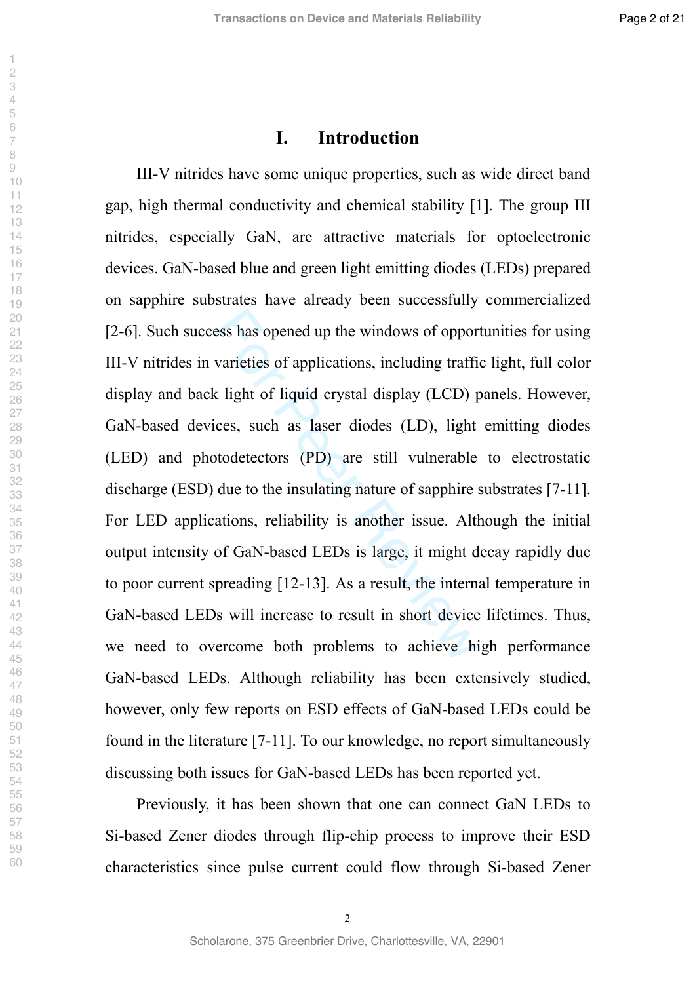#### **I. Introduction**

best also opened up the windows of opport<br>varieties of applications, including traffice<br>is light of liquid crystal display (LCD) p<br>ces, such as laser diodes (LD), light<br>todetectors (PD) are still vulnerable<br>due to the insu III-V nitrides have some unique properties, such as wide direct band gap, high thermal conductivity and chemical stability [1]. The group III nitrides, especially GaN, are attractive materials for optoelectronic devices. GaN-based blue and green light emitting diodes (LEDs) prepared on sapphire substrates have already been successfully commercialized [2-6]. Such success has opened up the windows of opportunities for using III-V nitrides in varieties of applications, including traffic light, full color display and back light of liquid crystal display (LCD) panels. However, GaN-based devices, such as laser diodes (LD), light emitting diodes (LED) and photodetectors (PD) are still vulnerable to electrostatic discharge (ESD) due to the insulating nature of sapphire substrates [7-11]. For LED applications, reliability is another issue. Although the initial output intensity of GaN-based LEDs is large, it might decay rapidly due to poor current spreading [12-13]. As a result, the internal temperature in GaN-based LEDs will increase to result in short device lifetimes. Thus, we need to overcome both problems to achieve high performance GaN-based LEDs. Although reliability has been extensively studied, however, only few reports on ESD effects of GaN-based LEDs could be found in the literature [7-11]. To our knowledge, no report simultaneously discussing both issues for GaN-based LEDs has been reported yet.

Previously, it has been shown that one can connect GaN LEDs to Si-based Zener diodes through flip-chip process to improve their ESD characteristics since pulse current could flow through Si-based Zener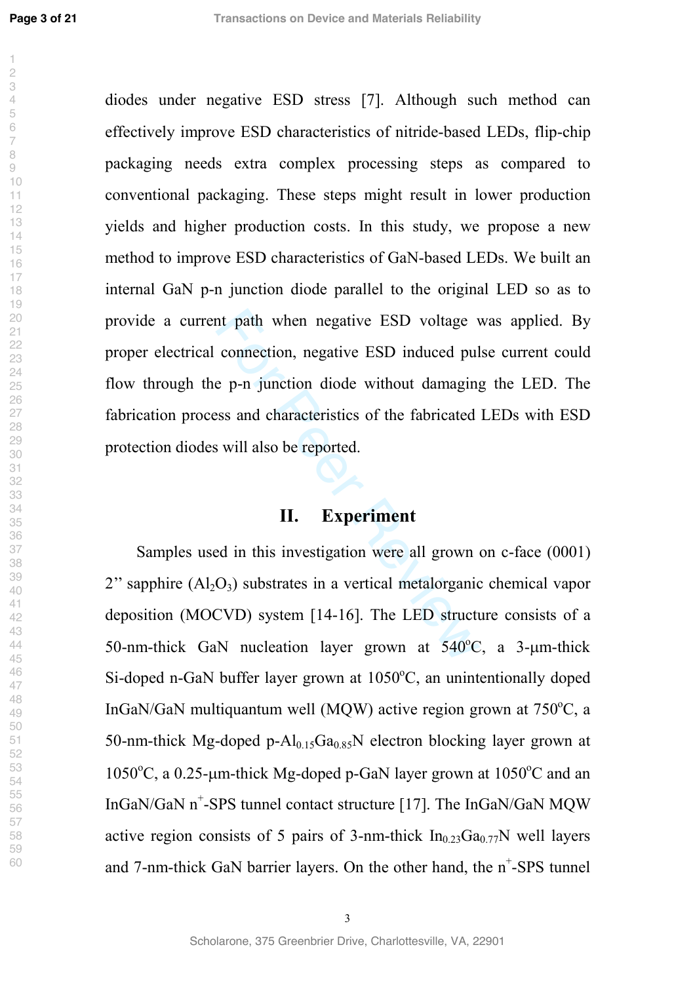nt path when negative ESD voltage v<br>connection, negative ESD induced pul<br>e p-n junction diode without damaging<br>sss and characteristics of the fabricated<br>is will also be reported.<br>**II.** Experiment<br>ed in this investigation w diodes under negative ESD stress [7]. Although such method can effectively improve ESD characteristics of nitride-based LEDs, flip-chip packaging needs extra complex processing steps as compared to conventional packaging. These steps might result in lower production yields and higher production costs. In this study, we propose a new method to improve ESD characteristics of GaN-based LEDs. We built an internal GaN p-n junction diode parallel to the original LED so as to provide a current path when negative ESD voltage was applied. By proper electrical connection, negative ESD induced pulse current could flow through the p-n junction diode without damaging the LED. The fabrication process and characteristics of the fabricated LEDs with ESD protection diodes will also be reported.

#### **II. Experiment**

Samples used in this investigation were all grown on c-face (0001) " sapphire  $(Al_2O_3)$  substrates in a vertical metalorganic chemical vapor deposition (MOCVD) system [14-16]. The LED structure consists of a 50-nm-thick GaN nucleation layer grown at  $540^{\circ}$ C, a 3-µm-thick Si-doped n-GaN buffer layer grown at 1050°C, an unintentionally doped InGaN/GaN multiquantum well (MQW) active region grown at  $750^{\circ}$ C, a 50-nm-thick Mg-doped p- $Al_{0.15}Ga_{0.85}N$  electron blocking layer grown at 1050°C, a 0.25-µm-thick Mg-doped p-GaN layer grown at 1050°C and an InGaN/GaN n + -SPS tunnel contact structure [17]. The InGaN/GaN MQW active region consists of 5 pairs of 3-nm-thick  $In<sub>0.23</sub>Ga<sub>0.77</sub>N$  well layers and 7-nm-thick GaN barrier layers. On the other hand, the  $n^+$ -SPS tunnel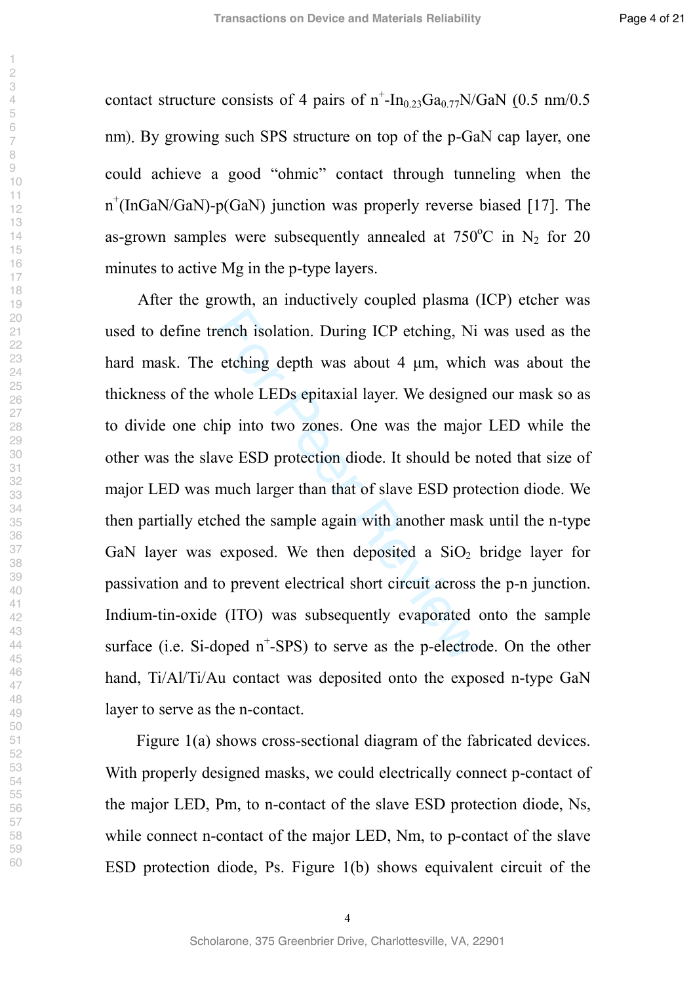contact structure consists of 4 pairs of  $n^{\text{-}}$ -In<sub>0.23</sub>Ga<sub>0.77</sub>N/GaN (0.5 nm/0.5) nm). By growing such SPS structure on top of the p-GaN cap layer, one could achieve a good "ohmic" contact through tunneling when the n<sup>+</sup>(InGaN/GaN)-p(GaN) junction was properly reverse biased [17]. The as-grown samples were subsequently annealed at  $750^{\circ}$ C in N<sub>2</sub> for 20 minutes to active Mg in the p-type layers.

ench isolation. During ICP etching, Ni<br>etching depth was about 4  $\mu$ m, whicl<br>whole LEDs epitaxial layer. We designe<br>nip into two zones. One was the major<br>we ESD protection diode. It should be r<br>much larger than that of s After the growth, an inductively coupled plasma (ICP) etcher was used to define trench isolation. During ICP etching, Ni was used as the hard mask. The etching depth was about 4 µm, which was about the thickness of the whole LEDs epitaxial layer. We designed our mask so as to divide one chip into two zones. One was the major LED while the other was the slave ESD protection diode. It should be noted that size of major LED was much larger than that of slave ESD protection diode. We then partially etched the sample again with another mask until the n-type GaN layer was exposed. We then deposited a  $SiO<sub>2</sub>$  bridge layer for passivation and to prevent electrical short circuit across the p-n junction. Indium-tin-oxide (ITO) was subsequently evaporated onto the sample surface (i.e. Si-doped  $n^+$ -SPS) to serve as the p-electrode. On the other hand, Ti/Al/Ti/Au contact was deposited onto the exposed n-type GaN layer to serve as the n-contact.

Figure 1(a) shows cross-sectional diagram of the fabricated devices. With properly designed masks, we could electrically connect p-contact of the major LED, Pm, to n-contact of the slave ESD protection diode, Ns, while connect n-contact of the major LED, Nm, to p-contact of the slave ESD protection diode, Ps. Figure 1(b) shows equivalent circuit of the

 $\overline{\phantom{a}}$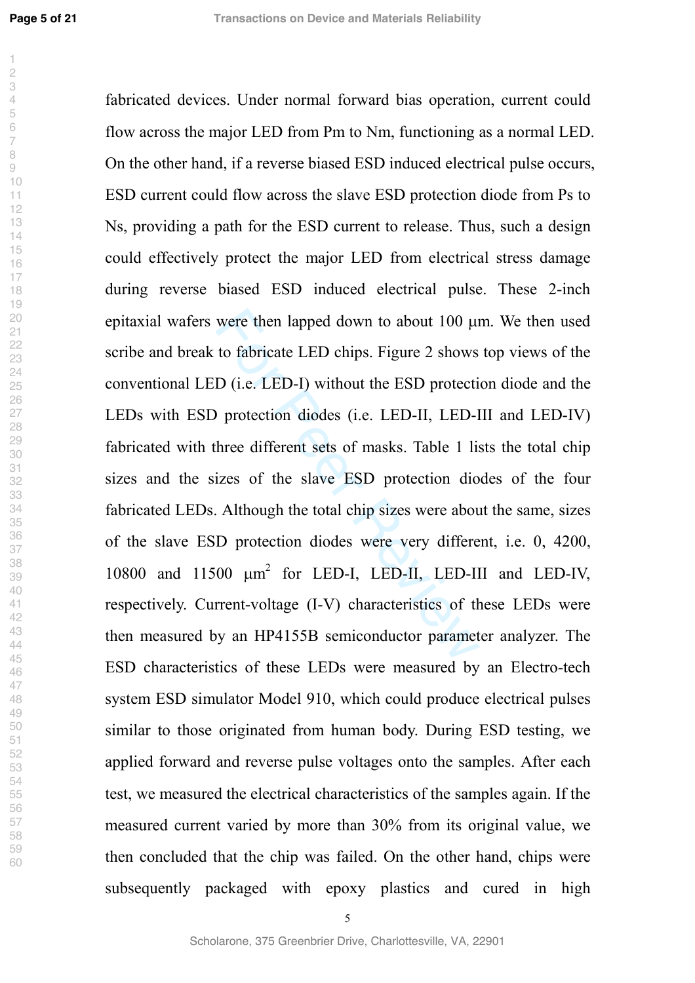**Page 5 of 21**

 $\overline{\phantom{a}}$ 

were then lapped down to about 100  $\mu$ <br>to fabricate LED chips. Figure 2 shows<br>D (i.e. LED-I) without the ESD protecti<br>for Protection diodes (i.e. LED-II, LED-I<br>three different sets of masks. Table 1 lis<br>izes of the slave fabricated devices. Under normal forward bias operation, current could flow across the major LED from Pm to Nm, functioning as a normal LED. On the other hand, if a reverse biased ESD induced electrical pulse occurs, ESD current could flow across the slave ESD protection diode from Ps to Ns, providing a path for the ESD current to release. Thus, such a design could effectively protect the major LED from electrical stress damage during reverse biased ESD induced electrical pulse. These 2-inch epitaxial wafers were then lapped down to about 100 µm. We then used scribe and break to fabricate LED chips. Figure 2 shows top views of the conventional LED (i.e. LED-I) without the ESD protection diode and the LEDs with ESD protection diodes (i.e. LED-II, LED-III and LED-IV) fabricated with three different sets of masks. Table 1 lists the total chip sizes and the sizes of the slave ESD protection diodes of the four fabricated LEDs. Although the total chip sizes were about the same, sizes of the slave ESD protection diodes were very different, i.e. 0, 4200, 10800 and 11500  $\mu$ m<sup>2</sup> for LED-I, LED-II, LED-III and LED-IV, respectively. Current-voltage (I-V) characteristics of these LEDs were then measured by an HP4155B semiconductor parameter analyzer. The ESD characteristics of these LEDs were measured by an Electro-tech system ESD simulator Model 910, which could produce electrical pulses similar to those originated from human body. During ESD testing, we applied forward and reverse pulse voltages onto the samples. After each test, we measured the electrical characteristics of the samples again. If the measured current varied by more than 30% from its original value, we then concluded that the chip was failed. On the other hand, chips were subsequently packaged with epoxy plastics and cured in high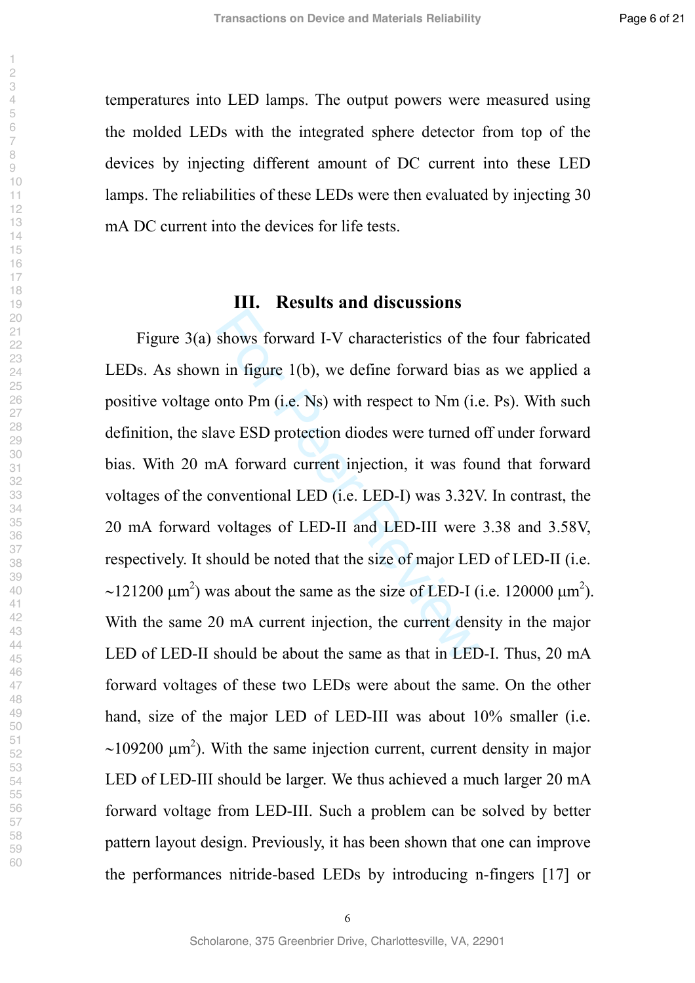temperatures into LED lamps. The output powers were measured using the molded LEDs with the integrated sphere detector from top of the devices by injecting different amount of DC current into these LED lamps. The reliabilities of these LEDs were then evaluated by injecting 30 mA DC current into the devices for life tests.

#### **III. Results and discussions**

shows forward I-V characteristics of the in figure 1(b), we define forward bias<br>onto Pm (i.e. Ns) with respect to Nm (i.e. ave ESD protection diodes were turned c<br>A forward current injection, it was fou<br>onventional LED (i Figure 3(a) shows forward I-V characteristics of the four fabricated LEDs. As shown in figure 1(b), we define forward bias as we applied a positive voltage onto Pm (i.e. Ns) with respect to Nm (i.e. Ps). With such definition, the slave ESD protection diodes were turned off under forward bias. With 20 mA forward current injection, it was found that forward voltages of the conventional LED (i.e. LED-I) was 3.32V. In contrast, the 20 mA forward voltages of LED-II and LED-III were 3.38 and 3.58V, respectively. It should be noted that the size of major LED of LED-II (i.e.  $\sim$ 121200  $\mu$ m<sup>2</sup>) was about the same as the size of LED-I (i.e. 120000  $\mu$ m<sup>2</sup>). With the same 20 mA current injection, the current density in the major LED of LED-II should be about the same as that in LED-I. Thus, 20 mA forward voltages of these two LEDs were about the same. On the other hand, size of the major LED of LED-III was about 10% smaller (i.e.  $\sim$ 109200  $\mu$ m<sup>2</sup>). With the same injection current, current density in major LED of LED-III should be larger. We thus achieved a much larger 20 mA forward voltage from LED-III. Such a problem can be solved by better pattern layout design. Previously, it has been shown that one can improve the performances nitride-based LEDs by introducing n-fingers [17] or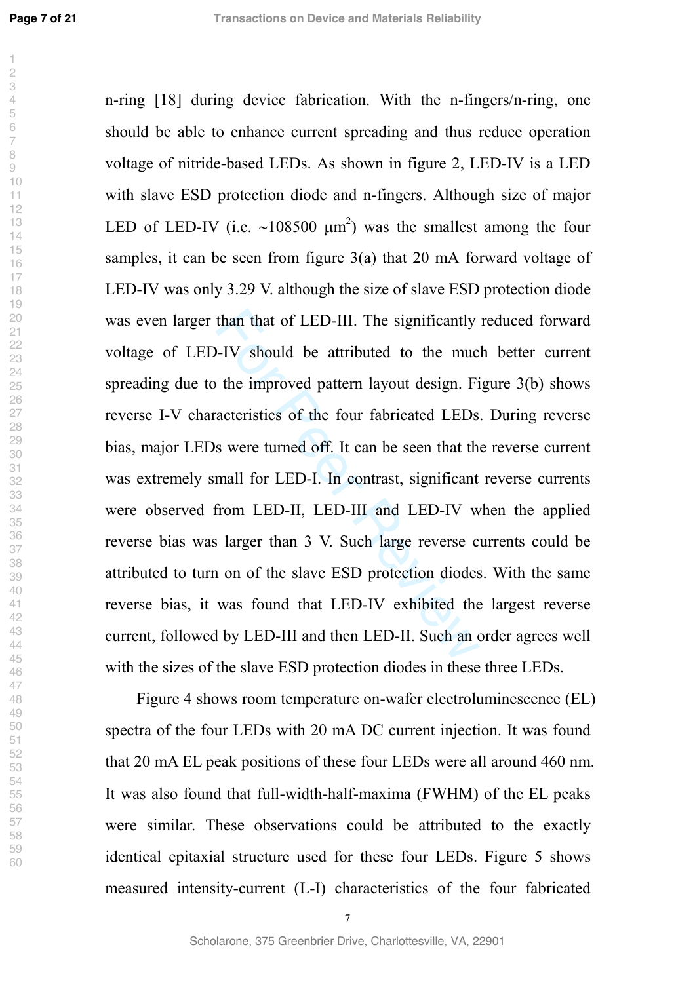**Page 7 of 21**

than that of LED-III. The significantly<br>
D-IV should be attributed to the muc<br>
of the improved pattern layout design. Fivent<br>
racteristics of the four fabricated LEDs<br>
s were turned off. It can be seen that the<br>
mall for L n-ring [18] during device fabrication. With the n-fingers/n-ring, one should be able to enhance current spreading and thus reduce operation voltage of nitride-based LEDs. As shown in figure 2, LED-IV is a LED with slave ESD protection diode and n-fingers. Although size of major LED of LED-IV (i.e.  $\sim 108500 \mu m^2$ ) was the smallest among the four samples, it can be seen from figure 3(a) that 20 mA forward voltage of LED-IV was only 3.29 V. although the size of slave ESD protection diode was even larger than that of LED-III. The significantly reduced forward voltage of LED-IV should be attributed to the much better current spreading due to the improved pattern layout design. Figure 3(b) shows reverse I-V characteristics of the four fabricated LEDs. During reverse bias, major LEDs were turned off. It can be seen that the reverse current was extremely small for LED-I. In contrast, significant reverse currents were observed from LED-II, LED-III and LED-IV when the applied reverse bias was larger than 3 V. Such large reverse currents could be attributed to turn on of the slave ESD protection diodes. With the same reverse bias, it was found that LED-IV exhibited the largest reverse current, followed by LED-III and then LED-II. Such an order agrees well with the sizes of the slave ESD protection diodes in these three LEDs.

Figure 4 shows room temperature on-wafer electroluminescence (EL) spectra of the four LEDs with 20 mA DC current injection. It was found that 20 mA EL peak positions of these four LEDs were all around 460 nm. It was also found that full-width-half-maxima (FWHM) of the EL peaks were similar. These observations could be attributed to the exactly identical epitaxial structure used for these four LEDs. Figure 5 shows measured intensity-current (L-I) characteristics of the four fabricated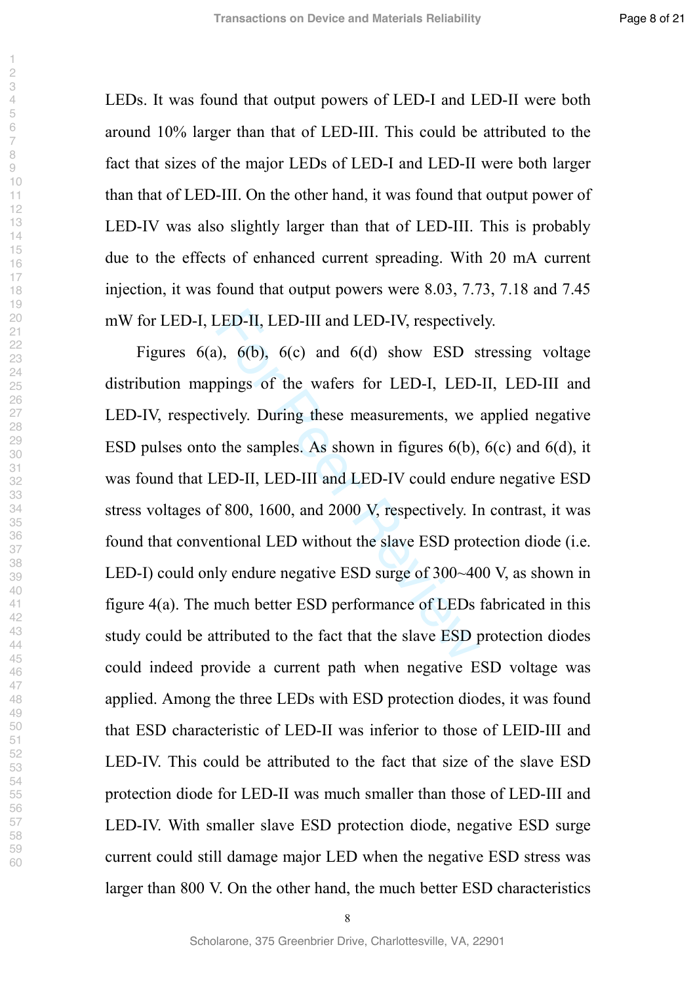LEDs. It was found that output powers of LED-I and LED-II were both around 10% larger than that of LED-III. This could be attributed to the fact that sizes of the major LEDs of LED-I and LED-II were both larger than that of LED-III. On the other hand, it was found that output power of LED-IV was also slightly larger than that of LED-III. This is probably due to the effects of enhanced current spreading. With 20 mA current injection, it was found that output powers were 8.03, 7.73, 7.18 and 7.45 mW for LED-I, LED-II, LED-III and LED-IV, respectively.

LED-II, LED-III and LED-IV, respective<br>
(a), 6(b), 6(c) and 6(d) show ESD s<br>
pings of the wafers for LED-I, LED-<br>
ively. During these measurements, we<br>
the samples. As shown in figures 6(b),<br>
ED-II, LED-III and LED-IV cou Figures 6(a), 6(b), 6(c) and 6(d) show ESD stressing voltage distribution mappings of the wafers for LED-I, LED-II, LED-III and LED-IV, respectively. During these measurements, we applied negative ESD pulses onto the samples. As shown in figures 6(b), 6(c) and 6(d), it was found that LED-II, LED-III and LED-IV could endure negative ESD stress voltages of 800, 1600, and 2000 V, respectively. In contrast, it was found that conventional LED without the slave ESD protection diode (i.e. LED-I) could only endure negative ESD surge of 300~400 V, as shown in figure 4(a). The much better ESD performance of LEDs fabricated in this study could be attributed to the fact that the slave ESD protection diodes could indeed provide a current path when negative ESD voltage was applied. Among the three LEDs with ESD protection diodes, it was found that ESD characteristic of LED-II was inferior to those of LEID-III and LED-IV. This could be attributed to the fact that size of the slave ESD protection diode for LED-II was much smaller than those of LED-III and LED-IV. With smaller slave ESD protection diode, negative ESD surge current could still damage major LED when the negative ESD stress was larger than 800 V. On the other hand, the much better ESD characteristics

 $\overline{\phantom{a}}$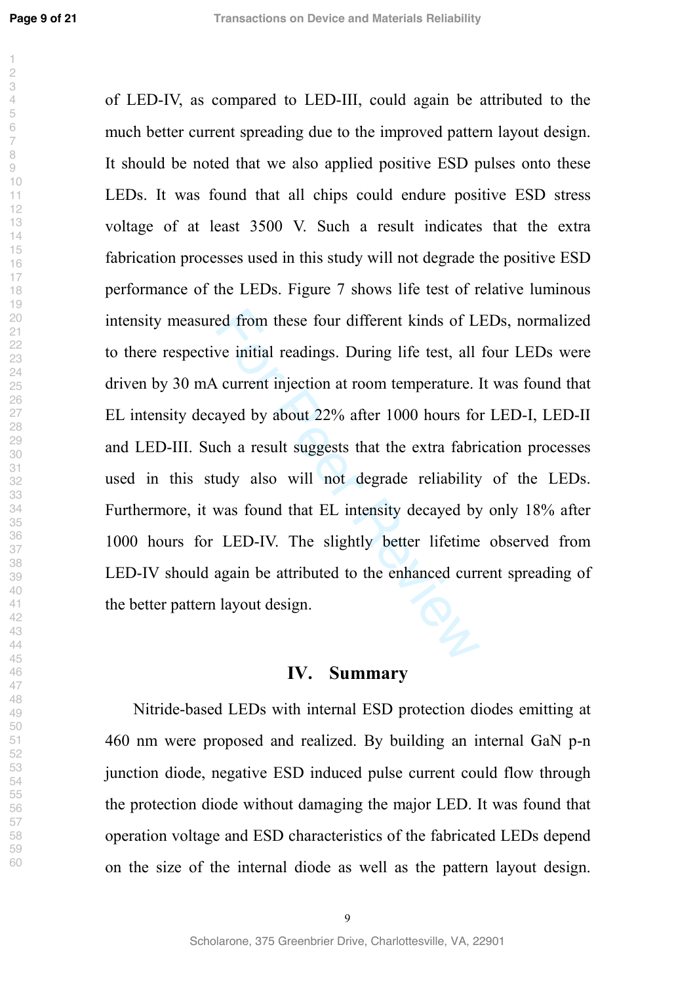$\overline{\phantom{a}}$ 

 

ed from these four different kinds of L.<br>we initial readings. During life test, all<br>ayed by about 22% after 1000 hours for<br>ch a result suggests that the extra fabri<br>udy also will not degrade reliability<br>was found that EL i of LED-IV, as compared to LED-III, could again be attributed to the much better current spreading due to the improved pattern layout design. It should be noted that we also applied positive ESD pulses onto these LEDs. It was found that all chips could endure positive ESD stress voltage of at least 3500 V. Such a result indicates that the extra fabrication processes used in this study will not degrade the positive ESD performance of the LEDs. Figure 7 shows life test of relative luminous intensity measured from these four different kinds of LEDs, normalized to there respective initial readings. During life test, all four LEDs were driven by 30 mA current injection at room temperature. It was found that EL intensity decayed by about 22% after 1000 hours for LED-I, LED-II and LED-III. Such a result suggests that the extra fabrication processes used in this study also will not degrade reliability of the LEDs. Furthermore, it was found that EL intensity decayed by only 18% after 1000 hours for LED-IV. The slightly better lifetime observed from LED-IV should again be attributed to the enhanced current spreading of the better pattern layout design.

#### **IV. Summary**

Nitride-based LEDs with internal ESD protection diodes emitting at 460 nm were proposed and realized. By building an internal GaN p-n junction diode, negative ESD induced pulse current could flow through the protection diode without damaging the major LED. It was found that operation voltage and ESD characteristics of the fabricated LEDs depend on the size of the internal diode as well as the pattern layout design.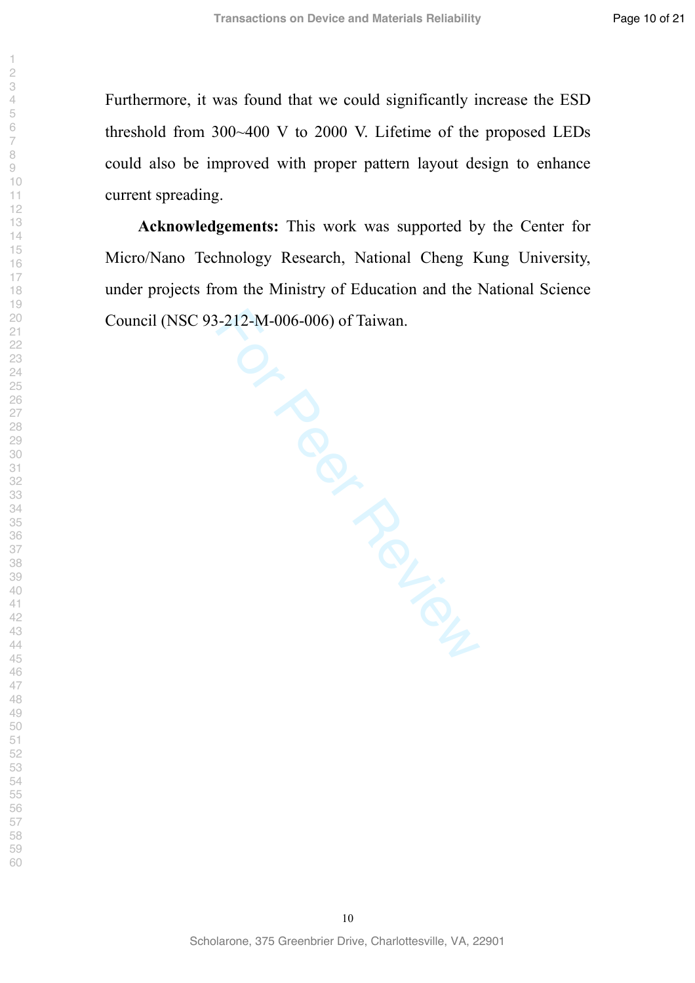Furthermore, it was found that we could significantly increase the ESD threshold from 300~400 V to 2000 V. Lifetime of the proposed LEDs could also be improved with proper pattern layout design to enhance current spreading.

**Acknowledgements:** This work was supported by the Center for Micro/Nano Technology Research, National Cheng Kung University, under projects from the Ministry of Education and the National Science Council (NSC 93-212-M-006-006) of Taiwan.

> Scholarone, 375 Greenbrier Drive, Charlottesville, VA, 22901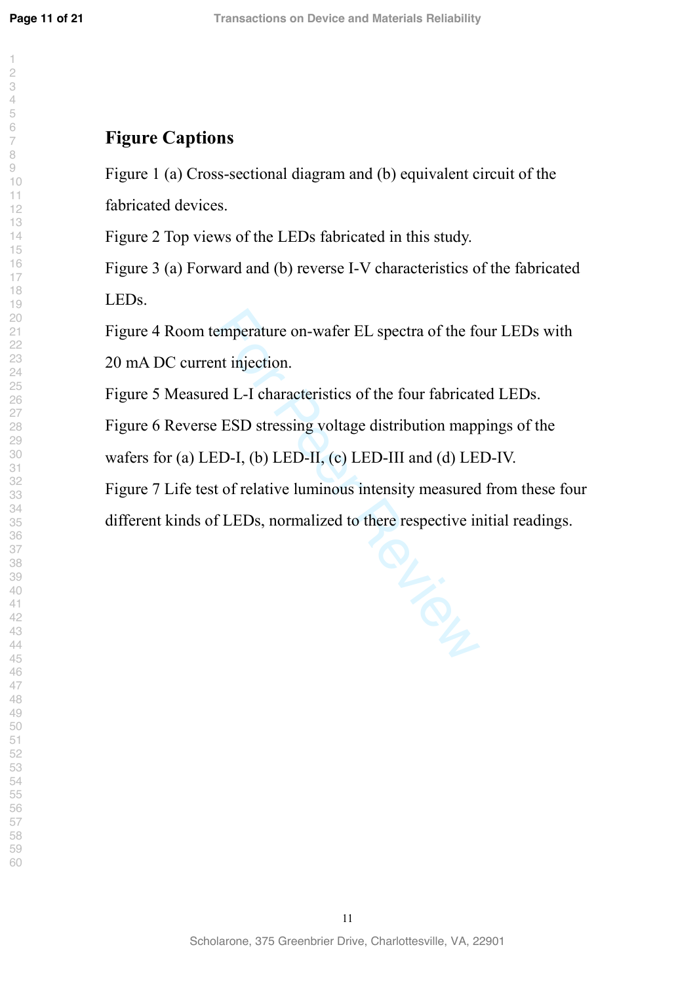$\overline{\phantom{a}}$ 

### **Figure Captions**

Figure 1 (a) Cross-sectional diagram and (b) equivalent circuit of the fabricated devices.

Figure 2 Top views of the LEDs fabricated in this study.

Figure 3 (a) Forward and (b) reverse I-V characteristics of the fabricated LEDs.

Figure 4 Room temperature on-wafer EL spectra of the four LEDs with

20 mA DC current injection.

Figure 5 Measured L-I characteristics of the four fabricated LEDs.

Figure 6 Reverse ESD stressing voltage distribution mappings of the wafers for (a) LED-I, (b) LED-II, (c) LED-III and (d) LED-IV.

Figure 7 Life test of relative luminous intensity measured from these four

different kinds of LEDs, normalized to there respective initial readings.

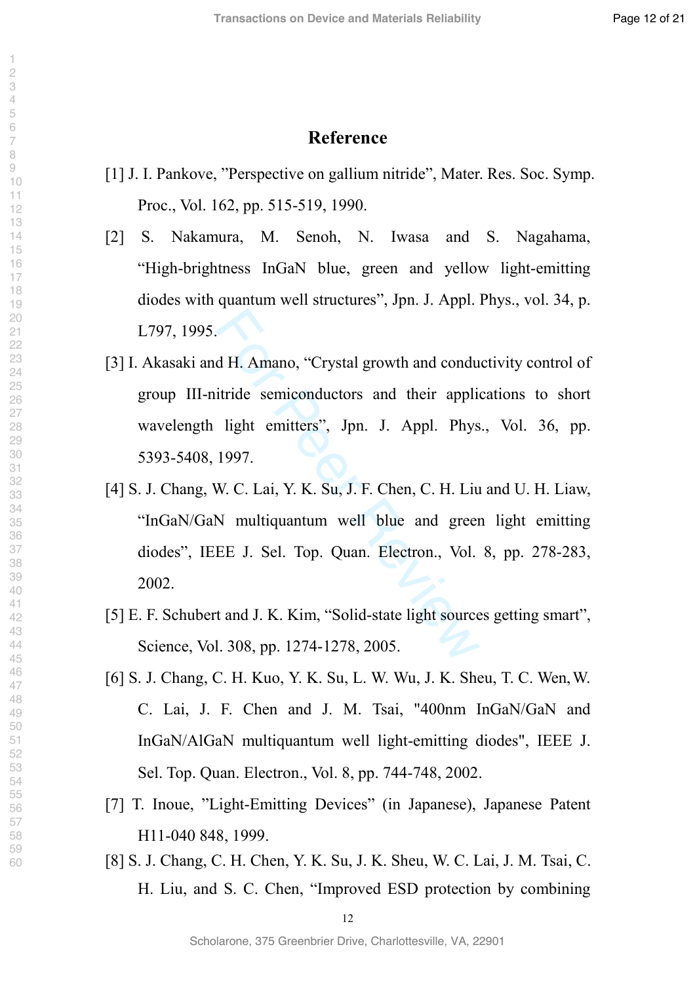#### **Reference**

- [1] J. I. Pankove, "Perspective on gallium nitride", Mater. Res. Soc. Symp. Proc., Vol. 162, pp. 515-519, 1990.
- [2] S. Nakamura, M. Senoh, N. Iwasa and S. Nagahama, "High-brightness InGaN blue, green and yellow light-emitting diodes with quantum well structures", Jpn. J. Appl. Phys., vol. 34, p. L797, 1995.
- [3] I. Akasaki and H. Amano, "Crystal growth and conductivity control of group III-nitride semiconductors and their applications to short wavelength light emitters", Jpn. J. Appl. Phys., Vol. 36, pp. 5393-5408, 1997.
- d H. Amano, "Crystal growth and conduitride semiconductors and their applies<br>
light emitters", Jpn. J. Appl. Phys<br>
1997.<br>
W. C. Lai, Y. K. Su, J. F. Chen, C. H. Liu<br>
N multiquantum well blue and greer<br>
EE J. Sel. Top. Quan [4] S. J. Chang, W. C. Lai, Y. K. Su, J. F. Chen, C. H. Liu and U. H. Liaw, "InGaN/GaN multiquantum well blue and green light emitting diodes", IEEE J. Sel. Top. Quan. Electron., Vol. 8, pp. 278-283, 2002.
- [5] E. F. Schubert and J. K. Kim, "Solid-state light sources getting smart", Science, Vol. 308, pp. 1274-1278, 2005.
- [6] S. J. Chang, C. H. Kuo, Y. K. Su, L. W. Wu, J. K. Sheu, T. C. Wen,W. C. Lai, J. F. Chen and J. M. Tsai, "400nm InGaN/GaN and InGaN/AlGaN multiquantum well light-emitting diodes", IEEE J. Sel. Top. Quan. Electron., Vol. 8, pp. 744-748, 2002.
- [7] T. Inoue, "Light-Emitting Devices" (in Japanese), Japanese Patent H11-040 848, 1999.
- [8] S. J. Chang, C. H. Chen, Y. K. Su, J. K. Sheu, W. C. Lai, J. M. Tsai, C. H. Liu, and S. C. Chen, "Improved ESD protection by combining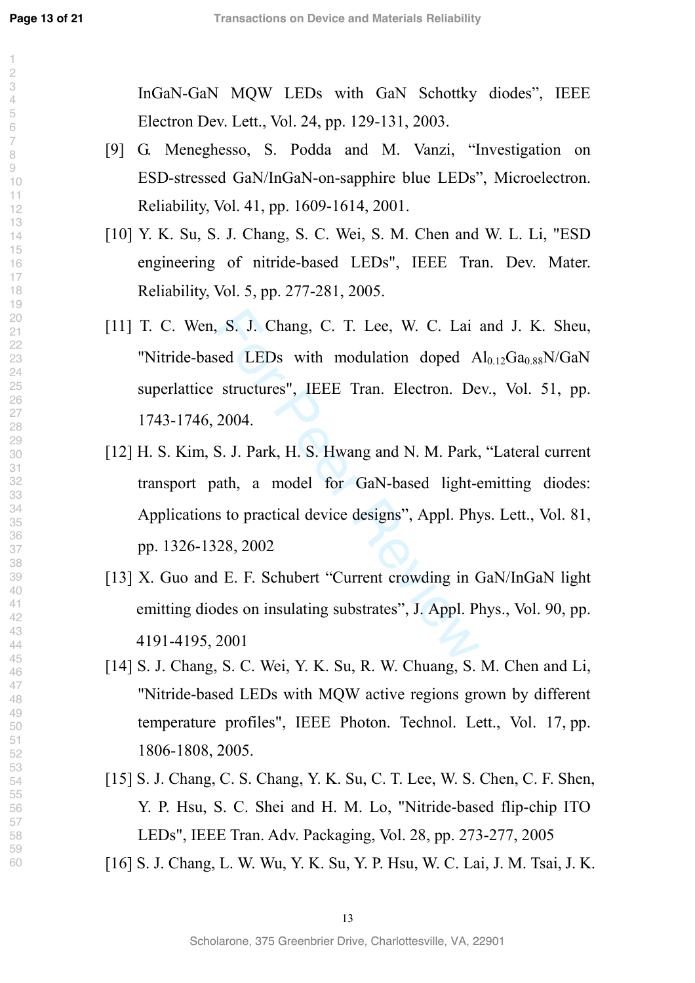$\overline{\phantom{a}}$  $\overline{c}$  $\overline{4}$  $\Theta$ 

InGaN-GaN MQW LEDs with GaN Schottky diodes", IEEE Electron Dev. Lett., Vol. 24, pp. 129-131, 2003.

- [9] G. Meneghesso, S. Podda and M. Vanzi, "Investigation on ESD-stressed GaN/InGaN-on-sapphire blue LEDs", Microelectron. Reliability, Vol. 41, pp. 1609-1614, 2001.
- [10] Y. K. Su, S. J. Chang, S. C. Wei, S. M. Chen and W. L. Li, "ESD engineering of nitride-based LEDs", IEEE Tran. Dev. Mater. Reliability, Vol. 5, pp. 277-281, 2005.
- S. J. Chang, C. T. Lee, W. C. Lai<br>sed LEDs with modulation doped A<br>structures", IEEE Tran. Electron. De<br>2004.<br>S. J. Park, H. S. Hwang and N. M. Park,<br>ath, a model for GaN-based light-es<br>to practical device designs", Appl. [11] T. C. Wen, S. J. Chang, C. T. Lee, W. C. Lai and J. K. Sheu, "Nitride-based LEDs with modulation doped  $Al<sub>0.12</sub>Ga<sub>0.88</sub>N/GaN$ superlattice structures", IEEE Tran. Electron. Dev., Vol. 51, pp. 1743-1746, 2004.
- [12] [H. S. Kim](http://scitation.aip.org/vsearch/servlet/VerityServlet?KEY=ALL&possible1=Kim%2C+Hyunsoo&possible1zone=author&maxdisp=25&smode=strresults&aqs=true), S. J. Park, H. S. Hwang and N. M. Park, "Lateral current transport path, a model for GaN-based light-emitting diodes: Applications to practical device designs", Appl. Phys. Lett., Vol. 81, pp. 1326-1328, 2002
- [13] X. Guo and E. F. Schubert "Current crowding in GaN/InGaN light emitting diodes on insulating substrates", J. Appl. Phys., Vol. 90, pp. 4191-4195, 2001
- [14] S. J. Chang, S. C. Wei, Y. K. Su, R. W. Chuang, S. M. Chen and Li, "Nitride-based LEDs with MQW active regions grown by different temperature profiles", IEEE Photon. Technol. Lett., Vol. 17, pp. 1806-1808, 2005.
- [15] S. J. Chang, C. S. Chang, Y. K. Su, C. T. Lee, W. S. Chen, C. F. Shen, Y. P. Hsu, S. C. Shei and H. M. Lo, "Nitride-based flip-chip ITO LEDs", IEEE Tran. Adv. Packaging, Vol. 28, pp. 273-277, 2005
- [16] S. J. Chang, L. W. Wu, Y. K. Su, Y. P. Hsu, W. C. Lai, J. M. Tsai, J. K.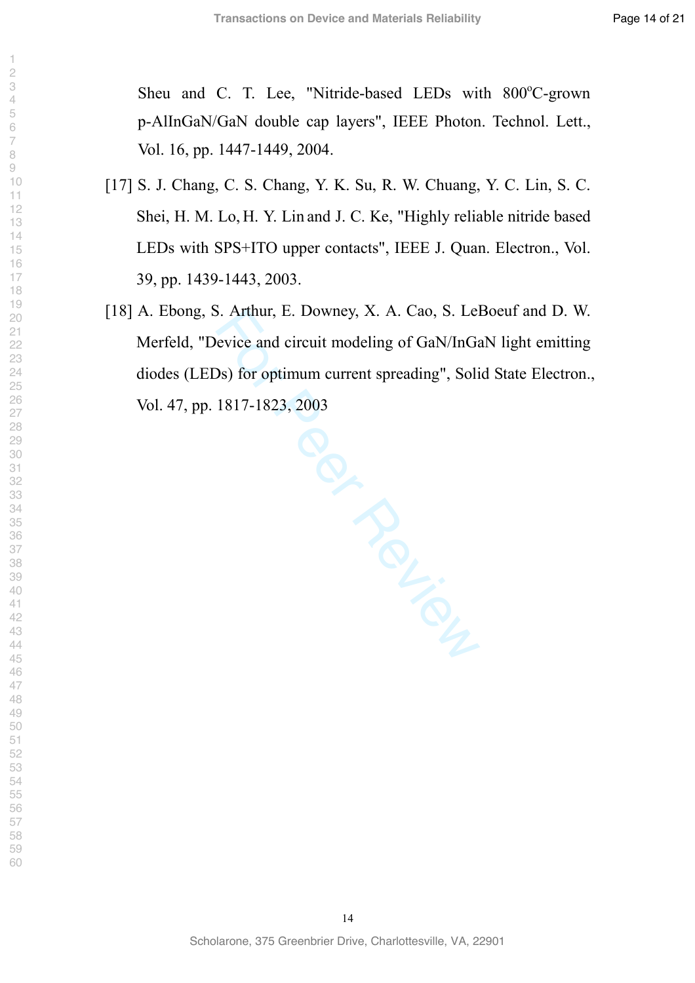Sheu and C. T. Lee, "Nitride-based LEDs with 800°C-grown p-AlInGaN/GaN double cap layers", IEEE Photon. Technol. Lett., Vol. 16, pp. 1447-1449, 2004.

- [17] S. J. Chang, C. S. Chang, Y. K. Su, R. W. Chuang, Y. C. Lin, S. C. Shei, H. M. Lo, H. Y. Lin and J. C. Ke, "Highly reliable nitride based LEDs with SPS+ITO upper contacts", IEEE J. Quan. Electron., Vol. 39, pp. 1439-1443, 2003.
- [18] A. [Ebong,](http://wos17.isiknowledge.com/CIW.cgi?SID=B4OJi3NnCJn4P7jhmef&Func=OneClickSearch&field=AU&val=Ebong+A&curr_doc=1/15&Form=FullRecordPage&doc=1/15) S. [Arthur,](http://wos17.isiknowledge.com/CIW.cgi?SID=B4OJi3NnCJn4P7jhmef&Func=OneClickSearch&field=AU&val=Arthur+S&curr_doc=1/15&Form=FullRecordPage&doc=1/15) E. [Downey,](http://wos17.isiknowledge.com/CIW.cgi?SID=B4OJi3NnCJn4P7jhmef&Func=OneClickSearch&field=AU&val=Downey+E&curr_doc=1/15&Form=FullRecordPage&doc=1/15) X. A. [Cao,](http://wos17.isiknowledge.com/CIW.cgi?SID=B4OJi3NnCJn4P7jhmef&Func=OneClickSearch&field=AU&val=Cao+XA&curr_doc=1/15&Form=FullRecordPage&doc=1/15) S. [LeBoeuf](http://wos17.isiknowledge.com/CIW.cgi?SID=B4OJi3NnCJn4P7jhmef&Func=OneClickSearch&field=AU&val=LeBoeuf+S&curr_doc=1/15&Form=FullRecordPage&doc=1/15) and D. W. [Merfeld, "](http://wos17.isiknowledge.com/CIW.cgi?SID=B4OJi3NnCJn4P7jhmef&Func=OneClickSearch&field=AU&val=Merfeld+DW&curr_doc=1/15&Form=FullRecordPage&doc=1/15)Device and circuit modeling of GaN/InGaN light emitting diodes (LEDs) for optimum current spreading", Solid State Electron., Vol. 47, pp. 1817-1823, 2003

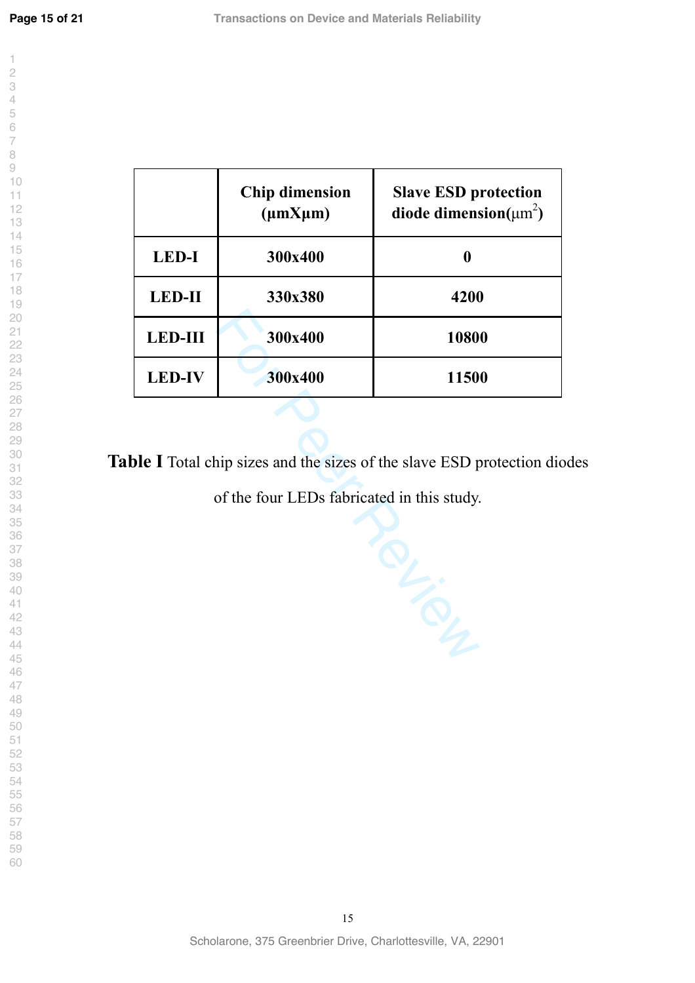$\overline{\phantom{a}}$  $\overline{c}$ 

|                | <b>Chip dimension</b><br>$(\mu$ m $X\mu$ m $)$ | <b>Slave ESD protection</b><br>diode dimension( $\mu$ m <sup>2</sup> ) |
|----------------|------------------------------------------------|------------------------------------------------------------------------|
| <b>LED-I</b>   | 300x400                                        |                                                                        |
| <b>LED-II</b>  | 330x380                                        | 4200                                                                   |
| <b>LED-III</b> | 300x400                                        | 10800                                                                  |
| <b>LED-IV</b>  | 300x400                                        | 11500                                                                  |

**Table I** Total chip sizes and the sizes of the slave ESD protection diodes

of the four LEDs fabricated in this study.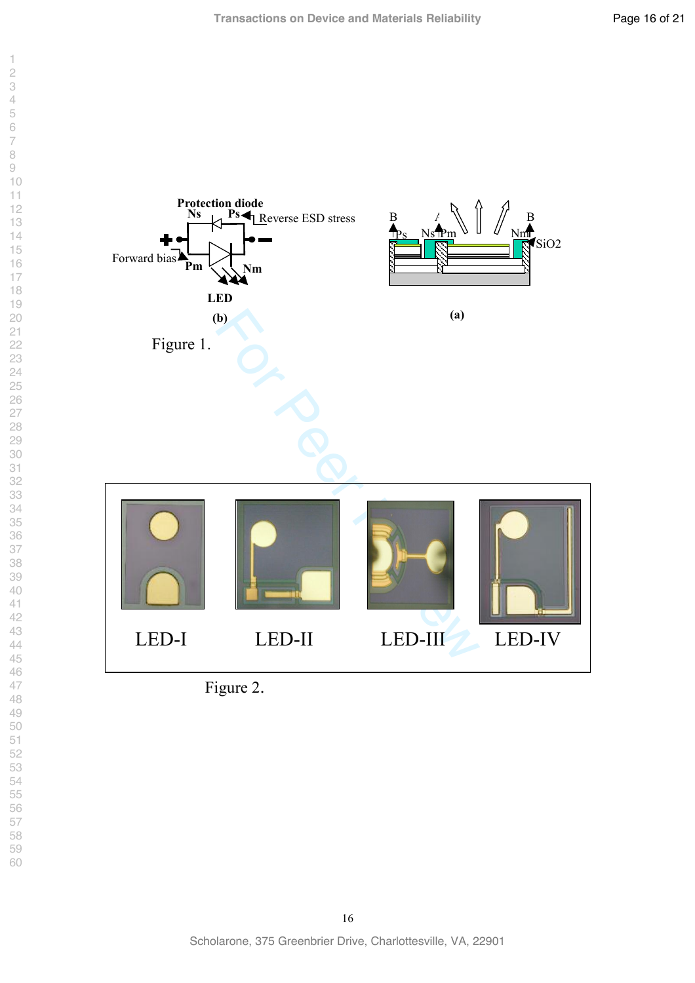



Figure 2 .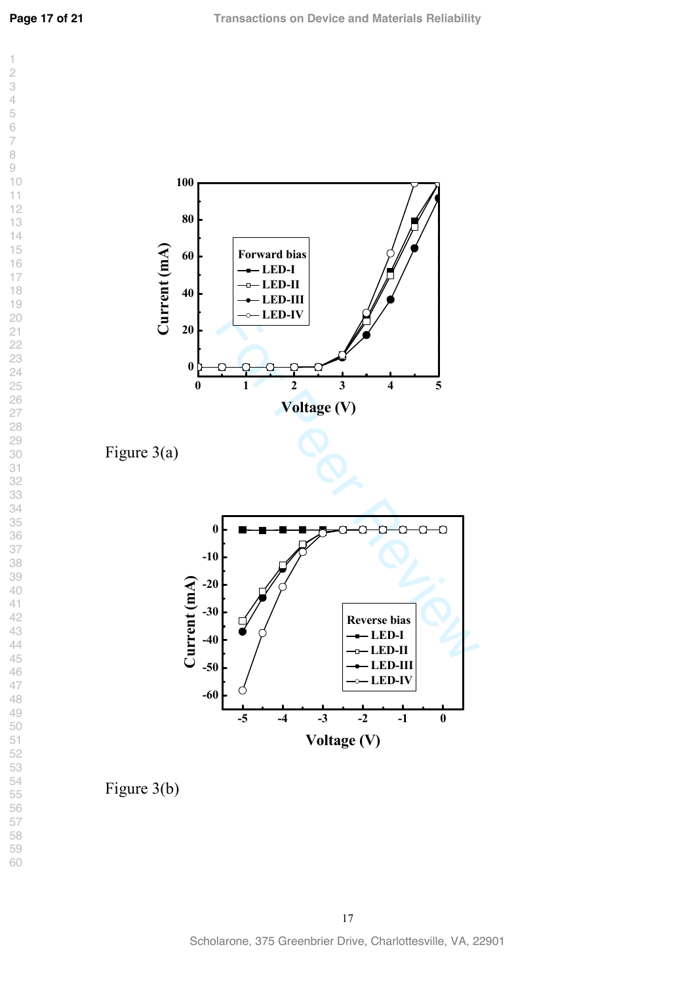**Page 17 of 21**





Figure 3(b)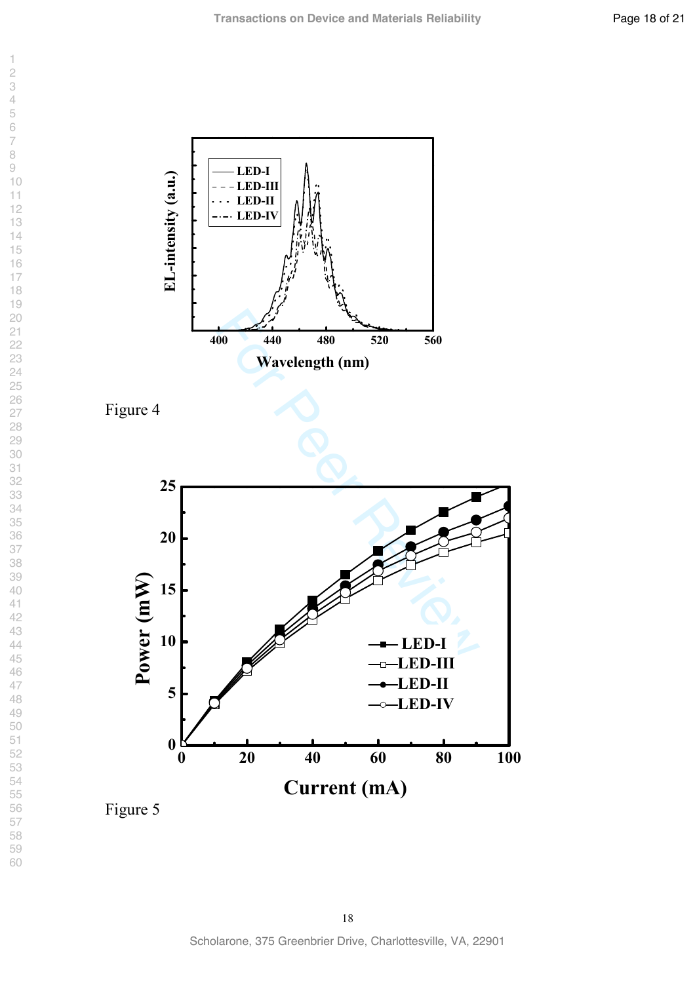

Figure 5

 $\overline{1}$ 

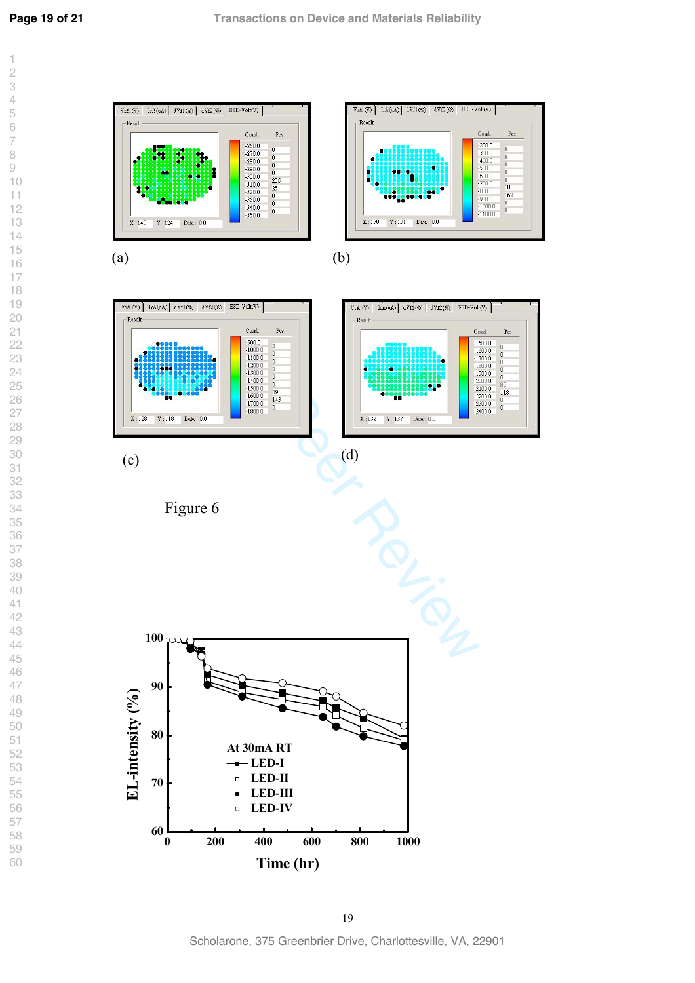

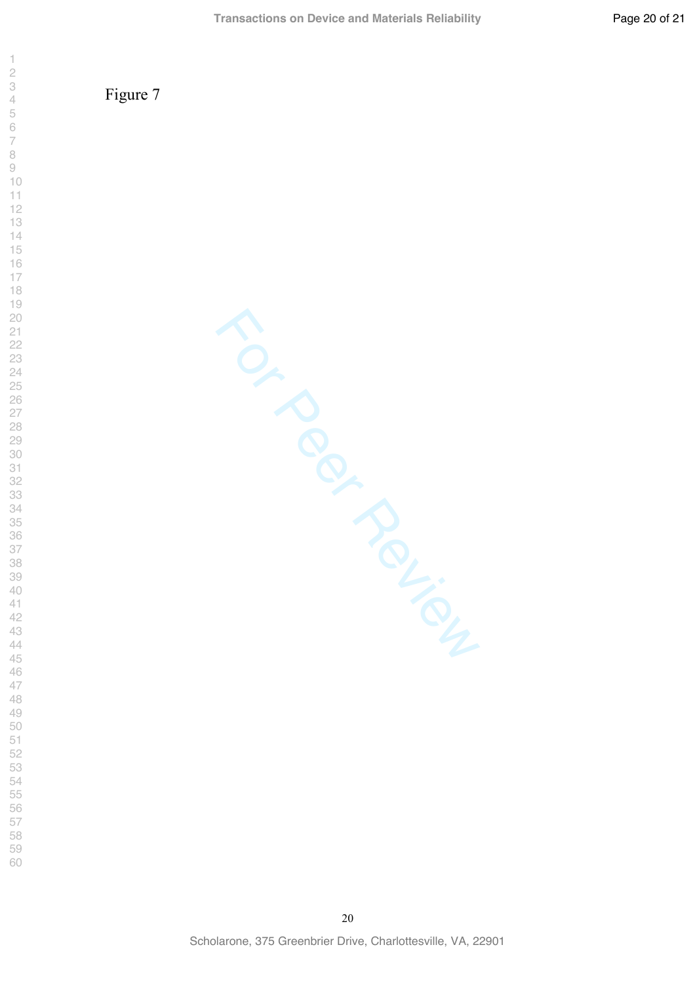Figure 7